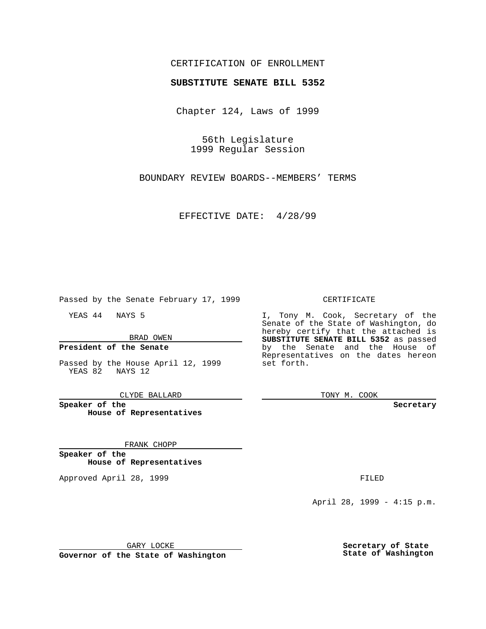### CERTIFICATION OF ENROLLMENT

# **SUBSTITUTE SENATE BILL 5352**

Chapter 124, Laws of 1999

56th Legislature 1999 Regular Session

BOUNDARY REVIEW BOARDS--MEMBERS' TERMS

EFFECTIVE DATE: 4/28/99

Passed by the Senate February 17, 1999

YEAS 44 NAYS 5

BRAD OWEN

### **President of the Senate**

Passed by the House April 12, 1999 YEAS 82 NAYS 12

CLYDE BALLARD

**Speaker of the House of Representatives**

#### FRANK CHOPP

**Speaker of the House of Representatives**

Approved April 28, 1999 **FILED** 

#### CERTIFICATE

I, Tony M. Cook, Secretary of the Senate of the State of Washington, do hereby certify that the attached is **SUBSTITUTE SENATE BILL 5352** as passed by the Senate and the House of Representatives on the dates hereon set forth.

TONY M. COOK

**Secretary**

April 28, 1999 - 4:15 p.m.

GARY LOCKE

**Governor of the State of Washington**

**Secretary of State State of Washington**